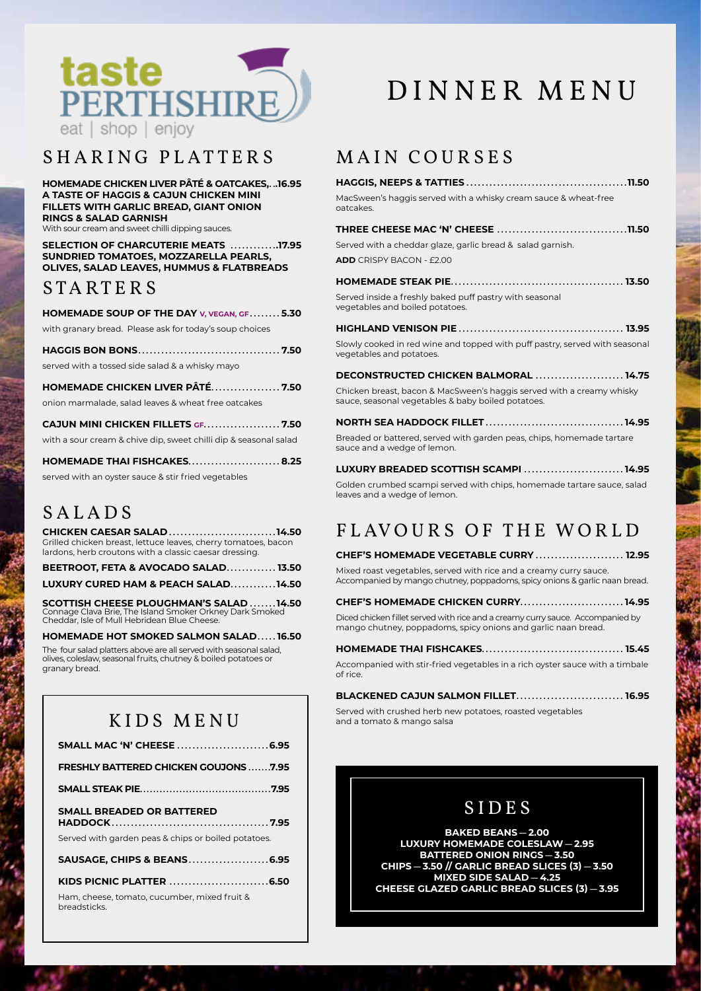

### SHARING PLATTERS

HOMEMADE CHICKEN LIVER PÂTÉ & OATCAKES...16.95 A TASTE OF HAGGIS & CAJUN CHICKEN MINI FILLETS WITH GARLIC BREAD, GIANT ONION **RINGS & SALAD GARNISH** With sour cream and sweet chilli dipping sauces.

SELECTION OF CHARCUTERIE MEATS .............17.95 SUNDRIED TOMATOES, MOZZARELLA PEARLS, OLIVES, SALAD LEAVES, HUMMUS & FLATBREADS

#### STARTERS

HOMEMADE SOUP OF THE DAY V, VEGAN, GF.......5.30 with granary bread. Please ask for today's soup choices

served with a tossed side salad & a whisky mayo

HOMEMADE CHICKEN LIVER PÂTÉ.................. 7.50 onion marmalade, salad leaves & wheat free oatcakes

| CAJUN MINI CHICKEN FILLETS GF7.50                                |
|------------------------------------------------------------------|
| with a sour cream & chive dip, sweet chilli dip & seasonal salad |
| HOMEMADE THAI FISHCAKES 8.25                                     |

| HOMEMADE THAI FISHCAKES8                            |  |
|-----------------------------------------------------|--|
| served with an oyster sauce & stir fried vegetables |  |

# **SALADS**

**CHICKEN CAESAR SALAD ...........................14.50** Grilled chicken breast, lettuce leaves, cherry tomatoes, bacon lardons, herb croutons with a classic caesar dressing.

BEETROOT, FETA & AVOCADO SALAD............. 13.50 LUXURY CURED HAM & PEACH SALAD...........14.50

**SCOTTISH CHEESE PLOUGHMAN'S SALAD .......14.50**<br>Connage Clava Brie, The Island Smoker Orkney Dark Smoked Cheddar, Isle of Mull Hebridean Blue Cheese.

HOMEMADE HOT SMOKED SALMON SALAD.....16.50

The four salad platters above are all served with seasonal salad, olives, coleslaw, seasonal fruits, chutney & boiled potatoes or granary bread.

# KIDS MENU

| <b>FRESHLY BATTERED CHICKEN GOUJONS7.95</b>                  |
|--------------------------------------------------------------|
|                                                              |
| SMALL BREADED OR BATTERED                                    |
| Served with garden peas & chips or boiled potatoes.          |
| SAUSAGE, CHIPS & BEANS6.95                                   |
|                                                              |
| Ham, cheese, tomato, cucumber, mixed fruit &<br>breadsticks. |

# DINNER MENU

# MAIN COURSES

| MacSween's haggis served with a whisky cream sauce & wheat-free<br>patcakes.                                                |  |
|-----------------------------------------------------------------------------------------------------------------------------|--|
|                                                                                                                             |  |
| Served with a cheddar glaze, garlic bread & salad garnish.                                                                  |  |
| <b>ADD</b> CRISPY BACON - £2.00                                                                                             |  |
|                                                                                                                             |  |
| Served inside a freshly baked puff pastry with seasonal<br>regetables and boiled potatoes.                                  |  |
|                                                                                                                             |  |
| Slowly cooked in red wine and topped with puff pastry, served with seasonal<br>regetables and potatoes.                     |  |
| <b>DECONSTRUCTED CHICKEN BALMORAL  14.75</b>                                                                                |  |
| Chicken breast, bacon & MacSween's haggis served with a creamy whisky<br>sauce, seasonal vegetables & baby boiled potatoes. |  |
|                                                                                                                             |  |
| Breaded or battered, served with garden peas, chips, homemade tartare<br>sauce and a wedge of lemon.                        |  |
| LUXURY BREADED SCOTTISH SCAMPI 14.95                                                                                        |  |
| Golden crumbed scampi served with chips, homemade tartare sauce, salad                                                      |  |

# FLAVOURS OF THE WORLD

CHEF'S HOMEMADE VEGETABLE CURRY ........................ 12.95 Mixed roast vegetables, served with rice and a creamy curry sauce. Accompanied by mango chutney, poppadoms, spicy onions & garlic naan bread.

| <b>CHEF'S HOMEMADE CHICKEN CURRY14.95</b>                                      |  |
|--------------------------------------------------------------------------------|--|
| Diced chicken fillet served with rice and a creamy curry sauce. Accompanied by |  |
| mango chutney, poppadoms, spicy onions and garlic naan bread.                  |  |

| Accompanied with stir-fried vegetables in a rich ovster sauce with a timbale<br>of rice. |  |
|------------------------------------------------------------------------------------------|--|

| <b>BLACKENED CAJUN SALMON FILLET 16.95</b>               |  |
|----------------------------------------------------------|--|
| Served with crushed herb new potatoes roasted vegetables |  |

and a tomato & mango salsa

leaves and a wedge of lemon.

# **SIDES**

**BAKED BEANS-2.00** LUXURY HOMEMADE COLESLAW - 2.95 **BATTERED ONION RINGS-3.50** CHIPS-3.50 // GARLIC BREAD SLICES (3)-3.50 MIXED SIDE SALAD - 4.25 **CHEESE GLAZED GARLIC BREAD SLICES (3) - 3.95**